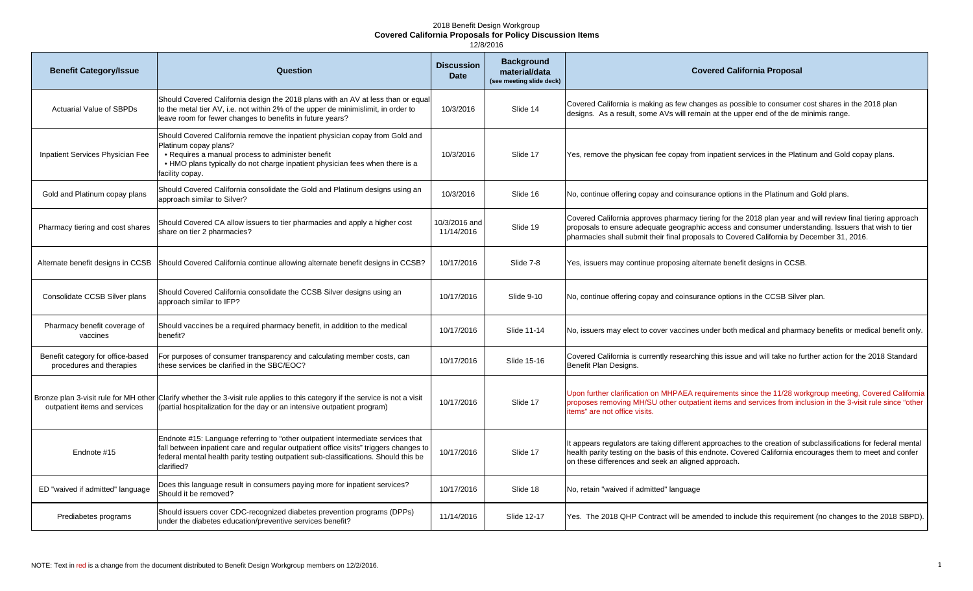## 2018 Benefit Design Workgroup **Covered California Proposals for Policy Discussion Items**

12/8/2016

| <b>Benefit Category/Issue</b>                                 | Question                                                                                                                                                                                                                                                                      | <b>Discussion</b><br><b>Date</b> | <b>Background</b><br>material/data<br>(see meeting slide deck) | <b>Covered California Proposal</b>                                                                                                                                                                                                                                                                              |
|---------------------------------------------------------------|-------------------------------------------------------------------------------------------------------------------------------------------------------------------------------------------------------------------------------------------------------------------------------|----------------------------------|----------------------------------------------------------------|-----------------------------------------------------------------------------------------------------------------------------------------------------------------------------------------------------------------------------------------------------------------------------------------------------------------|
| <b>Actuarial Value of SBPDs</b>                               | Should Covered California design the 2018 plans with an AV at less than or equal<br>to the metal tier AV, i.e. not within 2% of the upper de minimislimit, in order to<br>leave room for fewer changes to benefits in future years?                                           | 10/3/2016                        | Slide 14                                                       | Covered California is making as few changes as possible to consumer cost shares in the 2018 plan<br>designs. As a result, some AVs will remain at the upper end of the de minimis range.                                                                                                                        |
| Inpatient Services Physician Fee                              | Should Covered California remove the inpatient physician copay from Gold and<br>Platinum copay plans?<br>• Requires a manual process to administer benefit<br>. HMO plans typically do not charge inpatient physician fees when there is a<br>facility copay.                 | 10/3/2016                        | Slide 17                                                       | Yes, remove the physican fee copay from inpatient services in the Platinum and Gold copay plans.                                                                                                                                                                                                                |
| Gold and Platinum copay plans                                 | Should Covered California consolidate the Gold and Platinum designs using an<br>approach similar to Silver?                                                                                                                                                                   | 10/3/2016                        | Slide 16                                                       | No, continue offering copay and coinsurance options in the Platinum and Gold plans.                                                                                                                                                                                                                             |
| Pharmacy tiering and cost shares                              | Should Covered CA allow issuers to tier pharmacies and apply a higher cost<br>share on tier 2 pharmacies?                                                                                                                                                                     | 10/3/2016 and<br>11/14/2016      | Slide 19                                                       | Covered California approves pharmacy tiering for the 2018 plan year and will review final tiering approach<br>proposals to ensure adequate geographic access and consumer understanding. Issuers that wish to tier<br>pharmacies shall submit their final proposals to Covered California by December 31, 2016. |
| Alternate benefit designs in CCSB                             | Should Covered California continue allowing alternate benefit designs in CCSB?                                                                                                                                                                                                | 10/17/2016                       | Slide 7-8                                                      | Yes, issuers may continue proposing alternate benefit designs in CCSB.                                                                                                                                                                                                                                          |
| Consolidate CCSB Silver plans                                 | Should Covered California consolidate the CCSB Silver designs using an<br>approach similar to IFP?                                                                                                                                                                            | 10/17/2016                       | Slide 9-10                                                     | No, continue offering copay and coinsurance options in the CCSB Silver plan.                                                                                                                                                                                                                                    |
| Pharmacy benefit coverage of<br>vaccines                      | Should vaccines be a required pharmacy benefit, in addition to the medical<br>benefit?                                                                                                                                                                                        | 10/17/2016                       | Slide 11-14                                                    | No, issuers may elect to cover vaccines under both medical and pharmacy benefits or medical benefit only.                                                                                                                                                                                                       |
| Benefit category for office-based<br>procedures and therapies | For purposes of consumer transparency and calculating member costs, can<br>these services be clarified in the SBC/EOC?                                                                                                                                                        | 10/17/2016                       | Slide 15-16                                                    | Covered California is currently researching this issue and will take no further action for the 2018 Standard<br>Benefit Plan Designs.                                                                                                                                                                           |
| outpatient items and services                                 | Bronze plan 3-visit rule for MH other Clarify whether the 3-visit rule applies to this category if the service is not a visit<br>(partial hospitalization for the day or an intensive outpatient program)                                                                     | 10/17/2016                       | Slide 17                                                       | Upon further clarification on MHPAEA requirements since the 11/28 workgroup meeting, Covered California<br>proposes removing MH/SU other outpatient items and services from inclusion in the 3-visit rule since "other<br>items" are not office visits.                                                         |
| Endnote #15                                                   | Endnote #15: Language referring to "other outpatient intermediate services that<br>fall between inpatient care and regular outpatient office visits" triggers changes to<br>federal mental health parity testing outpatient sub-classifications. Should this be<br>clarified? | 10/17/2016                       | Slide 17                                                       | It appears regulators are taking different approaches to the creation of subclassifications for federal mental<br>health parity testing on the basis of this endnote. Covered California encourages them to meet and confer<br>on these differences and seek an aligned approach.                               |
| ED "waived if admitted" language                              | Does this language result in consumers paying more for inpatient services?<br>Should it be removed?                                                                                                                                                                           | 10/17/2016                       | Slide 18                                                       | No, retain "waived if admitted" language                                                                                                                                                                                                                                                                        |
| Prediabetes programs                                          | Should issuers cover CDC-recognized diabetes prevention programs (DPPs)<br>under the diabetes education/preventive services benefit?                                                                                                                                          | 11/14/2016                       | Slide 12-17                                                    | Yes. The 2018 QHP Contract will be amended to include this requirement (no changes to the 2018 SBPD).                                                                                                                                                                                                           |